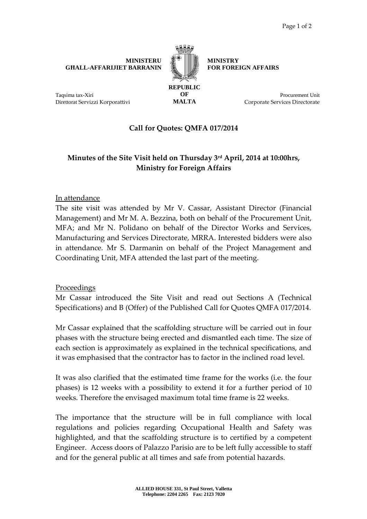#### **MINISTERU GĦALL-AFFARIJIET BARRANIN**



**MINISTRY FOR FOREIGN AFFAIRS** 

**REPUBLIC OF MALTA** 

Procurement Unit Corporate Services Directorate

## **Call for Quotes: QMFA 017/2014**

# **Minutes of the Site Visit held on Thursday 3rd April, 2014 at 10:00hrs, Ministry for Foreign Affairs**

### In attendance

Taqsima tax-Xiri

Direttorat Servizzi Korporattivi

The site visit was attended by Mr V. Cassar, Assistant Director (Financial Management) and Mr M. A. Bezzina, both on behalf of the Procurement Unit, MFA; and Mr N. Polidano on behalf of the Director Works and Services, Manufacturing and Services Directorate, MRRA. Interested bidders were also in attendance. Mr S. Darmanin on behalf of the Project Management and Coordinating Unit, MFA attended the last part of the meeting.

### Proceedings

Mr Cassar introduced the Site Visit and read out Sections A (Technical Specifications) and B (Offer) of the Published Call for Quotes QMFA 017/2014.

Mr Cassar explained that the scaffolding structure will be carried out in four phases with the structure being erected and dismantled each time. The size of each section is approximately as explained in the technical specifications, and it was emphasised that the contractor has to factor in the inclined road level.

It was also clarified that the estimated time frame for the works (i.e. the four phases) is 12 weeks with a possibility to extend it for a further period of 10 weeks. Therefore the envisaged maximum total time frame is 22 weeks.

The importance that the structure will be in full compliance with local regulations and policies regarding Occupational Health and Safety was highlighted, and that the scaffolding structure is to certified by a competent Engineer. Access doors of Palazzo Parisio are to be left fully accessible to staff and for the general public at all times and safe from potential hazards.